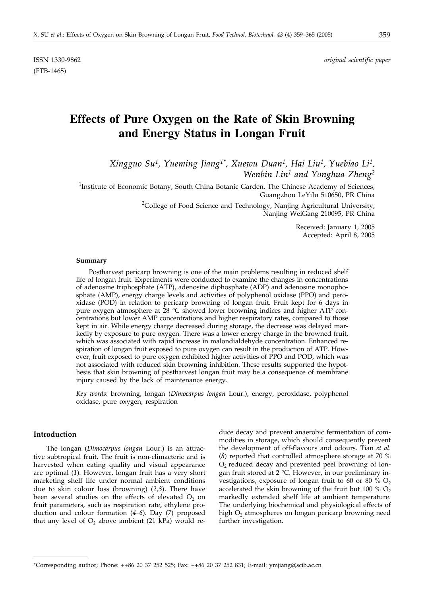ISSN 1330-9862 *original scientific paper*

# **Effects of Pure Oxygen on the Rate of Skin Browning and Energy Status in Longan Fruit**

*Xingguo Su1, Yueming Jiang1\*, Xuewu Duan1, Hai Liu1, Yuebiao Li1, Wenbin Lin1 and Yonghua Zheng2*

<sup>1</sup>Institute of Economic Botany, South China Botanic Garden, The Chinese Academy of Sciences, Guangzhou LeYiJu 510650, PR China

> <sup>2</sup>College of Food Science and Technology, Nanjing Agricultural University, Nanjing WeiGang 210095, PR China

> > Received: January 1, 2005 Accepted: April 8, 2005

#### **Summary**

Postharvest pericarp browning is one of the main problems resulting in reduced shelf life of longan fruit. Experiments were conducted to examine the changes in concentrations of adenosine triphosphate (ATP), adenosine diphosphate (ADP) and adenosine monophosphate (AMP), energy charge levels and activities of polyphenol oxidase (PPO) and peroxidase (POD) in relation to pericarp browning of longan fruit. Fruit kept for 6 days in pure oxygen atmosphere at 28 °C showed lower browning indices and higher ATP concentrations but lower AMP concentrations and higher respiratory rates, compared to those kept in air. While energy charge decreased during storage, the decrease was delayed markedly by exposure to pure oxygen. There was a lower energy charge in the browned fruit, which was associated with rapid increase in malondialdehyde concentration. Enhanced respiration of longan fruit exposed to pure oxygen can result in the production of ATP. However, fruit exposed to pure oxygen exhibited higher activities of PPO and POD, which was not associated with reduced skin browning inhibition. These results supported the hypothesis that skin browning of postharvest longan fruit may be a consequence of membrane injury caused by the lack of maintenance energy.

*Key words*: browning, longan (*Dimocarpus longan* Lour.), energy, peroxidase, polyphenol oxidase, pure oxygen, respiration

## **Introduction**

The longan (*Dimocarpus longan* Lour.) is an attractive subtropical fruit. The fruit is non-climacteric and is harvested when eating quality and visual appearance are optimal (*1*). However, longan fruit has a very short marketing shelf life under normal ambient conditions due to skin colour loss (browning) (*2,3*). There have been several studies on the effects of elevated  $O<sub>2</sub>$  on fruit parameters, such as respiration rate, ethylene production and colour formation (*4–6*). Day (*7*) proposed that any level of  $O_2$  above ambient (21 kPa) would reduce decay and prevent anaerobic fermentation of commodities in storage, which should consequently prevent the development of off-flavours and odours. Tian *et al*. (*8*) reported that controlled atmosphere storage at 70 %  $O<sub>2</sub>$  reduced decay and prevented peel browning of longan fruit stored at 2 °C. However, in our preliminary investigations, exposure of longan fruit to 60 or 80  $\%$  O<sub>2</sub>. accelerated the skin browning of the fruit but 100 %  $O_2$ markedly extended shelf life at ambient temperature. The underlying biochemical and physiological effects of high O<sub>2</sub> atmospheres on longan pericarp browning need further investigation.

<sup>\*</sup>Corresponding author; Phone: ++86 20 37 252 525; Fax: ++86 20 37 252 831; E-mail: ymjiang@scib.ac.cn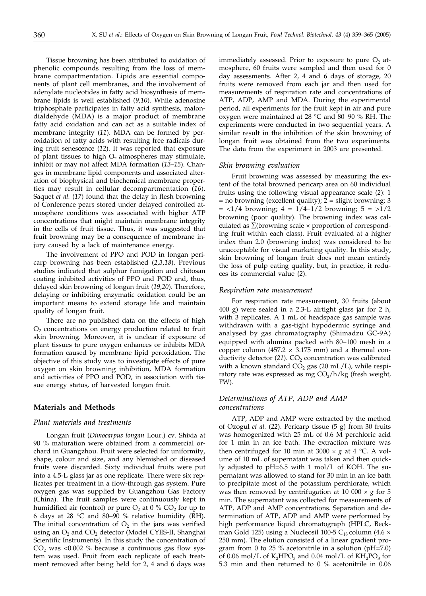Tissue browning has been attributed to oxidation of phenolic compounds resulting from the loss of membrane compartmentation. Lipids are essential components of plant cell membranes, and the involvement of adenylate nucleotides in fatty acid biosynthesis of membrane lipids is well established (*9,10*). While adenosine triphosphate participates in fatty acid synthesis, malondialdehyde (MDA) is a major product of membrane fatty acid oxidation and can act as a suitable index of membrane integrity (*11*). MDA can be formed by peroxidation of fatty acids with resulting free radicals during fruit senescence (*12*). It was reported that exposure of plant tissues to high  $O<sub>2</sub>$  atmospheres may stimulate, inhibit or may not affect MDA formation (*13–15*). Changes in membrane lipid components and associated alteration of biophysical and biochemical membrane properties may result in cellular decompartmentation (*16*). Saquet *et al.* (*17*) found that the delay in flesh browning of Conference pears stored under delayed controlled atmosphere conditions was associated with higher ATP concentrations that might maintain membrane integrity in the cells of fruit tissue. Thus, it was suggested that fruit browning may be a consequence of membrane injury caused by a lack of maintenance energy.

The involvement of PPO and POD in longan pericarp browning has been established (*2,3,18*). Previous studies indicated that sulphur fumigation and chitosan coating inhibited activities of PPO and POD and, thus, delayed skin browning of longan fruit (*19,20*). Therefore, delaying or inhibiting enzymatic oxidation could be an important means to extend storage life and maintain quality of longan fruit.

There are no published data on the effects of high O<sub>2</sub> concentrations on energy production related to fruit skin browning. Moreover, it is unclear if exposure of plant tissues to pure oxygen enhances or inhibits MDA formation caused by membrane lipid peroxidation. The objective of this study was to investigate effects of pure oxygen on skin browning inhibition, MDA formation and activities of PPO and POD, in association with tissue energy status, of harvested longan fruit.

## **Materials and Methods**

#### *Plant materials and treatments*

Longan fruit (*Dimocarpus longan* Lour.) cv. Shixia at 90 % maturation were obtained from a commercial orchard in Guangzhou. Fruit were selected for uniformity, shape, colour and size, and any blemished or diseased fruits were discarded. Sixty individual fruits were put into a 4.5-L glass jar as one replicate. There were six replicates per treatment in a flow-through gas system. Pure oxygen gas was supplied by Guangzhou Gas Factory (China). The fruit samples were continuously kept in humidified air (control) or pure  $O_2$  at 0 %  $CO_2$  for up to 6 days at 28 °C and 80–90 % relative humidity (RH). The initial concentration of  $O_2$  in the jars was verified using an O<sub>2</sub> and CO<sub>2</sub> detector (Model CYES-II, Shanghai Scientific Instruments). In this study the concentration of  $CO<sub>2</sub>$  was <0.002 % because a continuous gas flow system was used. Fruit from each replicate of each treatment removed after being held for 2, 4 and 6 days was

immediately assessed. Prior to exposure to pure  $O<sub>2</sub>$  atmosphere, 60 fruits were sampled and then used for 0 day assessments. After 2, 4 and 6 days of storage, 20 fruits were removed from each jar and then used for measurements of respiration rate and concentrations of ATP, ADP, AMP and MDA. During the experimental period, all experiments for the fruit kept in air and pure oxygen were maintained at 28  $^{\circ}$ C and 80–90 % RH. The experiments were conducted in two sequential years. A similar result in the inhibition of the skin browning of longan fruit was obtained from the two experiments. The data from the experiment in 2003 are presented.

## *Skin browning evaluation*

Fruit browning was assessed by measuring the extent of the total browned pericarp area on 60 individual fruits using the following visual appearance scale (*2*): 1  $=$  no browning (excellent quality);  $2 =$  slight browning; 3  $=$  <1/4 browning; 4 = 1/4-1/2 browning; 5 = >1/2 browning (poor quality). The browning index was calculated as  $\Sigma$ (browning scale  $\times$  proportion of corresponding fruit within each class). Fruit evaluated at a higher index than 2.0 (browning index) was considered to be unacceptable for visual marketing quality. In this study, skin browning of longan fruit does not mean entirely the loss of pulp eating quality, but, in practice, it reduces its commercial value (*2*).

#### *Respiration rate measurement*

For respiration rate measurement, 30 fruits (about 400 g) were sealed in a 2.3-L airtight glass jar for 2 h, with 3 replicates. A 1 mL of headspace gas sample was withdrawn with a gas-tight hypodermic syringe and analysed by gas chromatography (Shimadzu GC-9A) equipped with alumina packed with 80-100 mesh in a copper column (457.2  $\times$  3.175 mm) and a thermal conductivity detector  $(21)$ .  $CO<sub>2</sub>$  concentration was calibrated with a known standard  $CO<sub>2</sub>$  gas (20 mL/L), while respiratory rate was expressed as mg  $CO<sub>2</sub>/h/kg$  (fresh weight, FW).

# *Determinations of ATP, ADP and AMP concentrations*

ATP, ADP and AMP were extracted by the method of Ozogul *et al.* (*22*). Pericarp tissue (5 g) from 30 fruits was homogenized with 25 mL of 0.6 M perchloric acid for 1 min in an ice bath. The extraction mixture was then centrifuged for 10 min at 3000  $\times$  g at 4 °C. A volume of 10 mL of supernatant was taken and then quickly adjusted to pH=6.5 with 1 mol/L of KOH. The supernatant was allowed to stand for 30 min in an ice bath to precipitate most of the potassium perchlorate, which was then removed by centrifugation at 10 000  $\times$  g for 5 min. The supernatant was collected for measurements of ATP, ADP and AMP concentrations. Separation and determination of ATP, ADP and AMP were performed by high performance liquid chromatograph (HPLC, Beckman Gold 125) using a Nucleosil 100-5  $C_{18}$  column (4.6  $\times$ 250 mm). The elution consisted of a linear gradient program from 0 to 25 % acetonitrile in a solution ( $pH=7.0$ ) of 0.06 mol/L of  $K_2HPO_3$  and 0.04 mol/L of  $KH_2PO_3$  for 5.3 min and then returned to 0 % acetonitrile in 0.06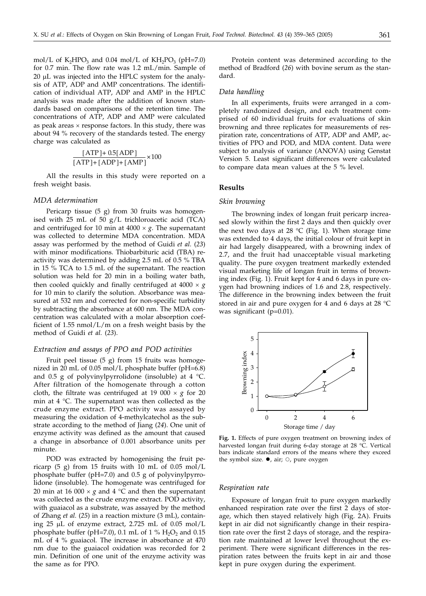mol/L of K<sub>2</sub>HPO<sub>3</sub> and 0.04 mol/L of KH<sub>2</sub>PO<sub>3</sub> (pH=7.0) for 0.7 min. The flow rate was 1.2 mL/min. Sample of  $20 \mu L$  was injected into the HPLC system for the analysis of ATP, ADP and AMP concentrations. The identification of individual ATP, ADP and AMP in the HPLC analysis was made after the addition of known standards based on comparisons of the retention time. The concentrations of ATP, ADP and AMP were calculated as peak areas  $\times$  response factors. In this study, there was about 94 % recovery of the standards tested. The energy charge was calculated as

$$
\frac{\text{[ATP]} + 0.5\text{[ADP]}}{\text{[ATP]} + \text{[ADP]} + \text{[AMP]}} \times 100
$$

All the results in this study were reported on a fresh weight basis.

#### *MDA determination*

Pericarp tissue (5 g) from 30 fruits was homogenised with 25 mL of 50 g/L trichloroacetic acid (TCA) and centrifuged for 10 min at  $4000 \times g$ . The supernatant was collected to determine MDA concentration. MDA assay was performed by the method of Guidi *et al.* (*23*) with minor modifications. Thiobarbituric acid (TBA) reactivity was determined by adding 2.5 mL of 0.5 % TBA in 15 % TCA to 1.5 mL of the supernatant. The reaction solution was held for 20 min in a boiling water bath, then cooled quickly and finally centrifuged at  $4000 \times g$ for 10 min to clarify the solution. Absorbance was measured at 532 nm and corrected for non-specific turbidity by subtracting the absorbance at 600 nm. The MDA concentration was calculated with a molar absorption coefficient of 1.55 nmol/L/m on a fresh weight basis by the method of Guidi *et al.* (*23*).

# *Extraction and assays of PPO and POD activities*

Fruit peel tissue  $(5 g)$  from 15 fruits was homogenized in 20 mL of 0.05 mol/L phosphate buffer (pH=6.8) and 0.5 g of polyvinylpyrrolidone (insoluble) at 4  $^{\circ}$ C. After filtration of the homogenate through a cotton cloth, the filtrate was centrifuged at 19 000  $\times$  g for 20 min at 4 °C. The supernatant was then collected as the crude enzyme extract. PPO activity was assayed by measuring the oxidation of 4-methylcatechol as the substrate according to the method of Jiang (*24*). One unit of enzyme activity was defined as the amount that caused a change in absorbance of 0.001 absorbance units per minute.

POD was extracted by homogenising the fruit pericarp  $(5 \text{ g})$  from 15 fruits with 10 mL of 0.05 mol/L phosphate buffer (pH=7.0) and 0.5 g of polyvinylpyrrolidone (insoluble). The homogenate was centrifuged for 20 min at 16 000  $\times$  *g* and 4 °C and then the supernatant was collected as the crude enzyme extract. POD activity, with guaiacol as a substrate, was assayed by the method of Zhang *et al.* (*25*) in a reaction mixture (3 mL), containing 25  $\mu$ L of enzyme extract, 2.725 mL of 0.05 mol/L phosphate buffer (pH=7.0), 0.1 mL of 1 %  $H_2O_2$  and 0.15 mL of 4 % guaiacol. The increase in absorbance at 470 nm due to the guaiacol oxidation was recorded for 2 min. Definition of one unit of the enzyme activity was the same as for PPO.

Protein content was determined according to the method of Bradford (*26*) with bovine serum as the standard.

# *Data handling*

In all experiments, fruits were arranged in a completely randomized design, and each treatment comprised of 60 individual fruits for evaluations of skin browning and three replicates for measurements of respiration rate, concentrations of ATP, ADP and AMP, activities of PPO and POD, and MDA content. Data were subject to analysis of variance (ANOVA) using Genstat Version 5. Least significant differences were calculated to compare data mean values at the 5 % level.

#### **Results**

#### *Skin browning*

The browning index of longan fruit pericarp increased slowly within the first 2 days and then quickly over the next two days at 28  $°C$  (Fig. 1). When storage time was extended to 4 days, the initial colour of fruit kept in air had largely disappeared, with a browning index of 2.7, and the fruit had unacceptable visual marketing quality. The pure oxygen treatment markedly extended visual marketing life of longan fruit in terms of browning index (Fig. 1). Fruit kept for 4 and 6 days in pure oxygen had browning indices of 1.6 and 2.8, respectively. The difference in the browning index between the fruit stored in air and pure oxygen for 4 and 6 days at 28  $^{\circ}$ C was significant (p=0.01).



**Fig. 1.** Effects of pure oxygen treatment on browning index of harvested longan fruit during 6-day storage at 28 °C. Vertical bars indicate standard errors of the means where they exceed the symbol size.  $\bullet$ , air;  $\circ$ , pure oxygen

#### *Respiration rate*

Exposure of longan fruit to pure oxygen markedly enhanced respiration rate over the first 2 days of storage, which then stayed relatively high (Fig. 2A). Fruits kept in air did not significantly change in their respiration rate over the first 2 days of storage, and the respiration rate maintained at lower level throughout the experiment. There were significant differences in the respiration rates between the fruits kept in air and those kept in pure oxygen during the experiment.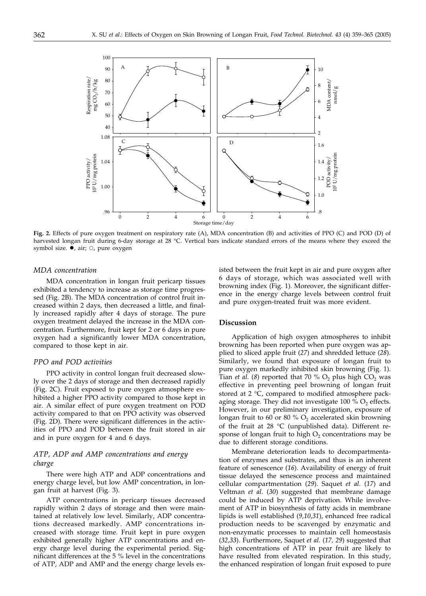

**Fig. 2.** Effects of pure oxygen treatment on respiratory rate (A), MDA concentration (B) and activities of PPO (C) and POD (D) of harvested longan fruit during 6-day storage at 28 °C. Vertical bars indicate standard errors of the means where they exceed the symbol size.  $\bullet$ , air;  $\circ$ , pure oxygen

#### *MDA concentration*

MDA concentration in longan fruit pericarp tissues exhibited a tendency to increase as storage time progressed (Fig. 2B). The MDA concentration of control fruit increased within 2 days, then decreased a little, and finally increased rapidly after 4 days of storage. The pure oxygen treatment delayed the increase in the MDA concentration. Furthermore, fruit kept for 2 or 6 days in pure oxygen had a significantly lower MDA concentration, compared to those kept in air.

# *PPO and POD activities*

PPO activity in control longan fruit decreased slowly over the 2 days of storage and then decreased rapidly (Fig. 2C). Fruit exposed to pure oxygen atmosphere exhibited a higher PPO activity compared to those kept in air. A similar effect of pure oxygen treatment on POD activity compared to that on PPO activity was observed (Fig. 2D). There were significant differences in the activities of PPO and POD between the fruit stored in air and in pure oxygen for 4 and 6 days.

# *ATP, ADP and AMP concentrations and energy charge*

There were high ATP and ADP concentrations and energy charge level, but low AMP concentration, in longan fruit at harvest (Fig. 3).

ATP concentrations in pericarp tissues decreased rapidly within 2 days of storage and then were maintained at relatively low level. Similarly, ADP concentrations decreased markedly. AMP concentrations increased with storage time. Fruit kept in pure oxygen exhibited generally higher ATP concentrations and energy charge level during the experimental period. Significant differences at the 5 % level in the concentrations of ATP, ADP and AMP and the energy charge levels existed between the fruit kept in air and pure oxygen after 6 days of storage, which was associated well with browning index (Fig. 1). Moreover, the significant difference in the energy charge levels between control fruit and pure oxygen-treated fruit was more evident.

#### **Discussion**

Application of high oxygen atmospheres to inhibit browning has been reported when pure oxygen was applied to sliced apple fruit (*27*) and shredded lettuce (*28*). Similarly, we found that exposure of longan fruit to pure oxygen markedly inhibited skin browning (Fig. 1). Tian *et al.* (8) reported that 70 %  $O_2$  plus high  $CO_2$  was effective in preventing peel browning of longan fruit stored at  $2 °C$ , compared to modified atmosphere packaging storage. They did not investigate 100  $\%$  O<sub>2</sub> effects. However, in our preliminary investigation, exposure of longan fruit to 60 or 80 %  $O_2$  accelerated skin browning of the fruit at 28  $\degree$ C (unpublished data). Different response of longan fruit to high  $O<sub>2</sub>$  concentrations may be due to different storage conditions.

Membrane deterioration leads to decompartmentation of enzymes and substrates, and thus is an inherent feature of senescence (*16*). Availability of energy of fruit tissue delayed the senescence process and maintained cellular compartmentation (*29*). Saquet *et al.* (*17*) and Veltman *et al.* (*30*) suggested that membrane damage could be induced by ATP deprivation. While involvement of ATP in biosynthesis of fatty acids in membrane lipids is well established (*9,10,31*), enhanced free radical production needs to be scavenged by enzymatic and non-enzymatic processes to maintain cell homeostasis (*32,33*). Furthermore, Saquet *et al.* (*17, 29*) suggested that high concentrations of ATP in pear fruit are likely to have resulted from elevated respiration. In this study, the enhanced respiration of longan fruit exposed to pure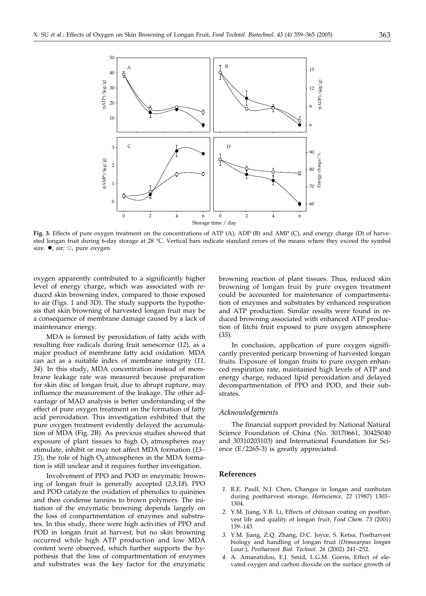

**Fig. 3.** Effects of pure oxygen treatment on the concentrations of ATP (A), ADP (B) and AMP (C), and energy charge (D) of harvested longan fruit during 6-day storage at 28 °C. Vertical bars indicate standard errors of the means where they exceed the symbol size.  $\bullet$ , air;  $\circ$ , pure oxygen

oxygen apparently contributed to a significantly higher level of energy charge, which was associated with reduced skin browning index, compared to those exposed to air (Figs. 1 and 3D). The study supports the hypothesis that skin browning of harvested longan fruit may be a consequence of membrane damage caused by a lack of maintenance energy.

MDA is formed by peroxidation of fatty acids with resulting free radicals during fruit senescence (*12*), as a major product of membrane fatty acid oxidation. MDA can act as a suitable index of membrane integrity (*11, 34*). In this study, MDA concentration instead of membrane leakage rate was measured because preparation for skin disc of longan fruit, due to abrupt rupture, may influence the measurement of the leakage. The other advantage of MAD analysis is better understanding of the effect of pure oxygen treatment on the formation of fatty acid peroxidation. This investigation exhibited that the pure oxygen treatment evidently delayed the accumulation of MDA (Fig. 2B). As previous studies showed that exposure of plant tissues to high  $O_2$  atmospheres may stimulate, inhibit or may not affect MDA formation (*13* 15), the role of high  $O_2$  atmospheres in the MDA formation is still unclear and it requires further investigation.

Involvement of PPO and POD in enzymatic browning of longan fruit is generally accepted (*2,3,18*). PPO and POD catalyze the oxidation of phenolics to quinines and then condense tannins to brown polymers. The initiation of the enzymatic browning depends largely on the loss of compartmentation of enzymes and substrates. In this study, there were high activities of PPO and POD in longan fruit at harvest, but no skin browning occurred while high ATP production and low MDA content were observed, which further supports the hypothesis that the loss of compartmentation of enzymes and substrates was the key factor for the enzymatic browning reaction of plant tissues. Thus, reduced skin browning of longan fruit by pure oxygen treatment could be accounted for maintenance of compartmentation of enzymes and substrates by enhanced respiration and ATP production. Similar results were found in reduced browning associated with enhanced ATP production of litchi fruit exposed to pure oxygen atmosphere (*35*).

In conclusion, application of pure oxygen significantly prevented pericarp browning of harvested longan fruits. Exposure of longan fruits to pure oxygen enhanced respiration rate, maintained high levels of ATP and energy charge, reduced lipid peroxidation and delayed decompartmentation of PPO and POD, and their substrates.

#### *Acknowledgements*

The financial support provided by National Natural Science Foundation of China (No. 30170661, 30425040 and 30310203103) and International Foundation for Science (E/2265-3) is greatly appreciated.

#### **References**

- *1.* R.E. Paull, N.J. Chen, Changes in longan and rambutan during postharvest storage, *Hortscience, 22* (1987) 1303 1304.
- *2.* Y.M. Jiang, Y.B. Li, Effects of chitosan coating on postharvest life and quality of longan fruit, *Food Chem. 73* (2001) 139-143.
- *3.* Y.M. Jiang, Z.Q. Zhang, D.C. Joyce, S. Ketsa, Postharvest biology and handling of longan fruit (*Dimocarpus longan* Lour.), Postharvest Biol. Technol. 26 (2002) 241-252.
- *4.* A. Amanatidou, E.J. Smid, L.G.M. Gorris, Effect of elevated oxygen and carbon dioxide on the surface growth of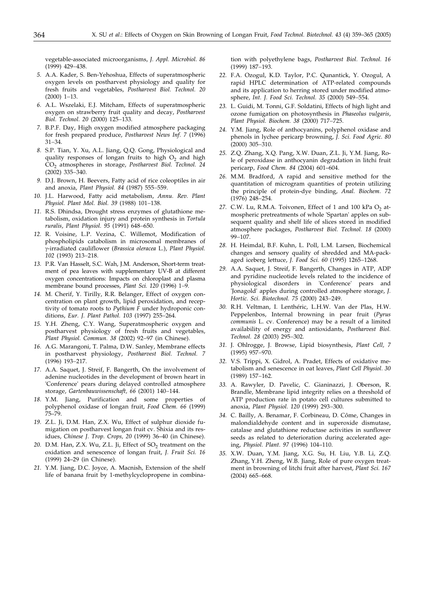vegetable-associated microorganisms, *J. Appl. Microbiol. 86* (1999) 429-438.

- *5.* A.A. Kader, S. Ben-Yehoshua, Effects of superatmospheric oxygen levels on postharvest physiology and quality for fresh fruits and vegetables, *Postharvest Biol. Technol. 20*  $(2000)$  1-13.
- *6.* A.L. Wszelaki, E.J. Mitcham, Effects of superatmospheric oxygen on strawberry fruit quality and decay, *Postharvest Biol. Technol. 20 (2000) 125-133.*
- *7.* B.P.F. Day, High oxygen modified atmosphere packaging for fresh prepared produce, *Postharvest News Inf. 7* (1996)  $31 - 34.$
- *8.* S.P. Tian, Y. Xu, A.L. Jiang, Q.Q. Gong, Physiological and quality responses of longan fruits to high  $O<sub>2</sub>$  and high CO2 atmospheres in storage, *Postharvest Biol. Technol. 24*  $(2002)$  335-340.
- *9.* D.J. Brown, H. Beevers, Fatty acid of rice coleoptiles in air and anoxia, *Plant Physiol. 84* (1987) 555-559.
- *10.* J.L. Harwood, Fatty acid metabolism, *Annu. Rev. Plant* Physiol. Plant Mol. Biol. 39 (1988) 101-138.
- *11.* R.S. Dhindsa, Drought stress enzymes of glutathione metabolism, oxidation injury and protein synthesis in *Tortula ruralis*, *Plant Physiol.* 95 (1991) 648-650.
- *12.* R. Voisine, L.P. Vezina, C. Willemot, Modification of phospholipids catabolism in microsomal membranes of -irradiated cauliflower (*Brassica oleracea* L.), *Plant Physiol.* 102 (1993) 213-218.
- *13.* P.R. Van Hasselt, S.C. Wah, J.M. Anderson, Short-term treatment of pea leaves with supplementary UV-B at different oxygen concentrations: Impacts on chloroplast and plasma membrane bound processes, *Plant Sci.* 120 (1996) 1-9.
- *14.* M. Cherif, Y. Tirilly, R.R. Belanger, Effect of oxygen concentration on plant growth, lipid peroxidation, and receptivity of tomato roots to *Pythium F* under hydroponic conditions, *Eur. J. Plant Pathol.* 103 (1997) 255-264.
- *15.* Y.H. Zheng, C.Y. Wang, Superatmospheric oxygen and postharvest physiology of fresh fruits and vegetables, *Plant Physiol. Commun. 38 (2002) 92-97 (in Chinese).*
- *16.* A.G. Marangoni, T. Palma, D.W. Sanley, Membrane effects in postharvest physiology, *Postharvest Biol. Technol. 7* (1996) 193-217.
- *17.* A.A. Saquet, J. Streif, F. Bangerth, On the involvement of adenine nucleotides in the development of brown heart in 'Conference' pears during delayed controlled atmosphere storage, Gartenbauwissenschaft, 66 (2001) 140-144.
- *18.* Y.M. Jiang, Purification and some properties of polyphenol oxidase of longan fruit, *Food Chem. 66* (1999) 75–79.
- *19.* Z.L. Ji, D.M. Han, Z.X. Wu, Effect of sulphur dioxide fumigation on postharvest longan fruit cv. Shixia and its residues, *Chinese J. Trop. Crops, 20* (1999) 36–40 (in Chinese).
- 20. D.M. Han, Z.X. Wu, Z.L. Ji, Effect of SO<sub>2</sub> treatment on the oxidation and senescence of longan fruit, *J. Fruit Sci. 16* (1999) 24–29 (in Chinese).
- *21.* Y.M. Jiang, D.C. Joyce, A. Macnish, Extension of the shelf life of banana fruit by 1-methylcyclopropene in combina-

tion with polyethylene bags, *Postharvest Biol. Technol. 16* (1999) 187-193.

- *22.* F.A. Ozogul, K.D. Taylor, P.C. Qunantick, Y. Ozogul, A rapid HPLC determination of ATP-related compounds and its application to herring stored under modified atmosphere, *Int. J. Food Sci. Technol. 35 (2000)* 549-554.
- *23.* L. Guidi, M. Tonni, G.F. Soldatini, Effects of high light and ozone fumigation on photosynthesis in *Phaseolus vulgaris*, *Plant Physiol. Biochem. 38 (2000) 717-725.*
- *24.* Y.M. Jiang, Role of anthocyanins, polyphenol oxidase and phenols in lychee pericarp browning, *J. Sci. Food Agric. 80*  $(2000)$  305-310.
- *25.* Z.Q. Zhang, X.Q. Pang, X.W. Duan, Z.L. Ji, Y.M. Jiang, Role of peroxidase in anthocyanin degradation in litchi fruit pericarp, *Food Chem. 84* (2004) 601–604.
- *26.* M.M. Bradford, A rapid and sensitive method for the quantitation of microgram quantities of protein utilizing the principle of protein-dye binding, *Anal. Biochem. 72* (1976) 248-254.
- 27. C.W. Lu, R.M.A. Toivonen, Effect of 1 and 100 kPa O<sub>2</sub> atmospheric pretreatments of whole 'Spartan' apples on subsequent quality and shelf life of slices stored in modified atmosphere packages, *Postharvest Biol. Technol. 18* (2000) 99-107.
- *28.* H. Heimdal, B.F. Kuhn, L. Poll, L.M. Larsen, Biochemical changes and sensory quality of shredded and MA-packaged iceberg lettuce, *J. Food Sci. 60* (1995) 1265-1268.
- *29.* A.A. Saquet, J. Streif, F. Bangerth, Changes in ATP, ADP and pyridine nucleotide levels related to the incidence of physiological disorders in 'Conference' pears and 'Jonagold' apples during controlled atmosphere storage, *J. Hortic. Sci. Biotechnol. 75* (2000) 243-249.
- *30.* R.H. Veltman, I. Lenthéric, L.H.W. Van der Plas, H.W. Peppelenbos, Internal browning in pear fruit (*Pyrus communis* L. cv. Conference) may be a result of a limited availability of energy and antioxidants, *Postharvest Biol.* Technol. 28 (2003) 295-302.
- *31.* J. Ohlrogge, J. Browse, Lipid biosynthesis, *Plant Cell, 7* (1995) 957-970.
- *32.* V.S. Trippi, X. Gidrol, A. Pradet, Effects of oxidative metabolism and senescence in oat leaves, *Plant Cell Physiol. 30*  $(1989)$  157-162.
- *33.* A. Rawyler, D. Pavelic, C. Gianinazzi, J. Oberson, R. Brandle, Membrane lipid integrity relies on a threshold of ATP production rate in potato cell cultures submitted to anoxia, *Plant Physiol.* 120 (1999) 293-300.
- *34.* C. Bailly, A. Benamar, F. Corbineau, D. Côme, Changes in malondialdehyde content and in superoxide dismutase, catalase and glutathione reductase activities in sunflower seeds as related to deterioration during accelerated ageing, *Physiol. Plant. 97* (1996) 104–110.
- *35.* X.W. Duan, Y.M. Jiang, X.G. Su, H. Liu, Y.B. Li, Z.Q. Zhang, Y.H. Zheng, W.B. Jiang, Role of pure oxygen treatment in browning of litchi fruit after harvest, *Plant Sci. 167*  $(2004)$  665-668.